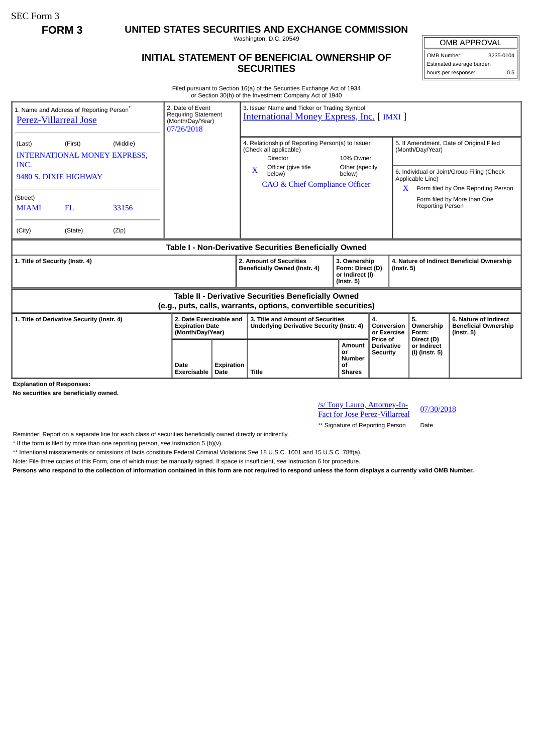SEC Form 3

**FORM 3 UNITED STATES SECURITIES AND EXCHANGE COMMISSION**

Washington, D.C. 20549

## **INITIAL STATEMENT OF BENEFICIAL OWNERSHIP OF SECURITIES**

OMB APPROVAL OMB Number: 3235-0104 Estimated average burden hours per response: 0.5

Filed pursuant to Section 16(a) of the Securities Exchange Act of 1934 or Section 30(h) of the Investment Company Act of 1940

| 1. Name and Address of Reporting Person <sup>®</sup><br>Perez-Villarreal Jose                                         |                                            |                                                 | 3. Issuer Name and Ticker or Trading Symbol<br>2. Date of Event<br><b>Requiring Statement</b><br><b>International Money Express, Inc. [IMXI]</b><br>(Month/Day/Year)<br>07/26/2018 |  |                                                                                            |                                                                                       |                                                                         |                                                                                                          |                                                                |                                        |                                                                          |
|-----------------------------------------------------------------------------------------------------------------------|--------------------------------------------|-------------------------------------------------|------------------------------------------------------------------------------------------------------------------------------------------------------------------------------------|--|--------------------------------------------------------------------------------------------|---------------------------------------------------------------------------------------|-------------------------------------------------------------------------|----------------------------------------------------------------------------------------------------------|----------------------------------------------------------------|----------------------------------------|--------------------------------------------------------------------------|
| (Last)<br>INC.                                                                                                        | (First)                                    | (Middle)<br><b>INTERNATIONAL MONEY EXPRESS,</b> |                                                                                                                                                                                    |  | 4. Relationship of Reporting Person(s) to Issuer<br>(Check all applicable)<br>Director     |                                                                                       | 10% Owner<br>Other (specify                                             |                                                                                                          | 5. If Amendment, Date of Original Filed<br>(Month/Day/Year)    |                                        |                                                                          |
| 9480 S. DIXIE HIGHWAY                                                                                                 |                                            |                                                 |                                                                                                                                                                                    |  | Officer (give title<br>$\mathbf{x}$<br>below)<br><b>CAO &amp; Chief Compliance Officer</b> | below)                                                                                |                                                                         | 6. Individual or Joint/Group Filing (Check<br>Applicable Line)<br>$X$ Form filed by One Reporting Person |                                                                |                                        |                                                                          |
| (Street)<br><b>MIAMI</b>                                                                                              | FL                                         | 33156                                           |                                                                                                                                                                                    |  |                                                                                            |                                                                                       |                                                                         |                                                                                                          |                                                                | <b>Reporting Person</b>                | Form filed by More than One                                              |
| (City)                                                                                                                | (State)                                    | (Zip)                                           |                                                                                                                                                                                    |  |                                                                                            |                                                                                       |                                                                         |                                                                                                          |                                                                |                                        |                                                                          |
| Table I - Non-Derivative Securities Beneficially Owned                                                                |                                            |                                                 |                                                                                                                                                                                    |  |                                                                                            |                                                                                       |                                                                         |                                                                                                          |                                                                |                                        |                                                                          |
| 1. Title of Security (Instr. 4)                                                                                       |                                            |                                                 |                                                                                                                                                                                    |  | 2. Amount of Securities<br>Beneficially Owned (Instr. 4)                                   |                                                                                       | 3. Ownership<br>Form: Direct (D)<br>or Indirect (I)<br>$($ lnstr. 5 $)$ |                                                                                                          | 4. Nature of Indirect Beneficial Ownership<br>$($ Instr. 5 $)$ |                                        |                                                                          |
| Table II - Derivative Securities Beneficially Owned<br>(e.g., puts, calls, warrants, options, convertible securities) |                                            |                                                 |                                                                                                                                                                                    |  |                                                                                            |                                                                                       |                                                                         |                                                                                                          |                                                                |                                        |                                                                          |
|                                                                                                                       |                                            |                                                 |                                                                                                                                                                                    |  |                                                                                            |                                                                                       |                                                                         |                                                                                                          |                                                                |                                        |                                                                          |
|                                                                                                                       | 1. Title of Derivative Security (Instr. 4) |                                                 | 2. Date Exercisable and<br><b>Expiration Date</b><br>(Month/Day/Year)                                                                                                              |  |                                                                                            | 3. Title and Amount of Securities<br><b>Underlying Derivative Security (Instr. 4)</b> |                                                                         | 4.<br>Conversion<br>or Exercise<br>Price of                                                              |                                                                | 5.<br>Ownership<br>Form:<br>Direct (D) | 6. Nature of Indirect<br><b>Beneficial Ownership</b><br>$($ Instr. 5 $)$ |

**Explanation of Responses:**

**No securities are beneficially owned.**

/s/ Tony Lauro, Attorney-In-<u>*SI*</u> Tony Lauro, Attorney-III-<br>Fact for Jose Perez-Villarreal 07/30/2018

\*\* Signature of Reporting Person Date

Reminder: Report on a separate line for each class of securities beneficially owned directly or indirectly.

\* If the form is filed by more than one reporting person, *see* Instruction 5 (b)(v).

\*\* Intentional misstatements or omissions of facts constitute Federal Criminal Violations *See* 18 U.S.C. 1001 and 15 U.S.C. 78ff(a).

Note: File three copies of this Form, one of which must be manually signed. If space is insufficient, *see* Instruction 6 for procedure.

**Persons who respond to the collection of information contained in this form are not required to respond unless the form displays a currently valid OMB Number.**